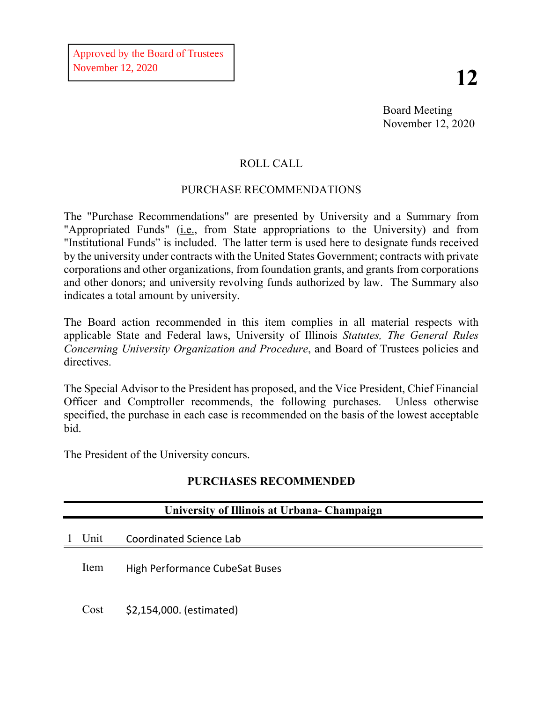Board Meeting November 12, 2020

# ROLL CALL

## PURCHASE RECOMMENDATIONS

The "Purchase Recommendations" are presented by University and a Summary from "Appropriated Funds" (i.e., from State appropriations to the University) and from "Institutional Funds" is included. The latter term is used here to designate funds received by the university under contracts with the United States Government; contracts with private corporations and other organizations, from foundation grants, and grants from corporations and other donors; and university revolving funds authorized by law. The Summary also indicates a total amount by university.

The Board action recommended in this item complies in all material respects with applicable State and Federal laws, University of Illinois *Statutes, The General Rules Concerning University Organization and Procedure*, and Board of Trustees policies and directives.

The Special Advisor to the President has proposed, and the Vice President, Chief Financial Officer and Comptroller recommends, the following purchases. Unless otherwise specified, the purchase in each case is recommended on the basis of the lowest acceptable bid.

The President of the University concurs.

## **PURCHASES RECOMMENDED**

| University of Illinois at Urbana- Champaign |                                       |  |  |  |
|---------------------------------------------|---------------------------------------|--|--|--|
| Unit                                        | Coordinated Science Lab               |  |  |  |
| Item                                        | <b>High Performance CubeSat Buses</b> |  |  |  |
| Cost                                        | \$2,154,000. (estimated)              |  |  |  |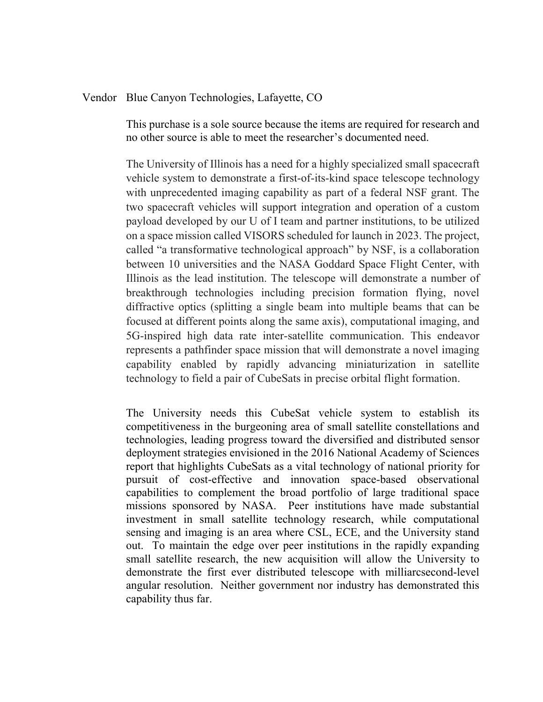#### Vendor Blue Canyon Technologies, Lafayette, CO

This purchase is a sole source because the items are required for research and no other source is able to meet the researcher's documented need.

The University of Illinois has a need for a highly specialized small spacecraft vehicle system to demonstrate a first-of-its-kind space telescope technology with unprecedented imaging capability as part of a federal NSF grant. The two spacecraft vehicles will support integration and operation of a custom payload developed by our U of I team and partner institutions, to be utilized on a space mission called VISORS scheduled for launch in 2023. The project, called "a transformative technological approach" by NSF, is a collaboration between 10 universities and the NASA Goddard Space Flight Center, with Illinois as the lead institution. The telescope will demonstrate a number of breakthrough technologies including precision formation flying, novel diffractive optics (splitting a single beam into multiple beams that can be focused at different points along the same axis), computational imaging, and 5G-inspired high data rate inter-satellite communication. This endeavor represents a pathfinder space mission that will demonstrate a novel imaging capability enabled by rapidly advancing miniaturization in satellite technology to field a pair of CubeSats in precise orbital flight formation.

The University needs this CubeSat vehicle system to establish its competitiveness in the burgeoning area of small satellite constellations and technologies, leading progress toward the diversified and distributed sensor deployment strategies envisioned in the 2016 National Academy of Sciences report that highlights CubeSats as a vital technology of national priority for pursuit of cost-effective and innovation space-based observational capabilities to complement the broad portfolio of large traditional space missions sponsored by NASA. Peer institutions have made substantial investment in small satellite technology research, while computational sensing and imaging is an area where CSL, ECE, and the University stand out. To maintain the edge over peer institutions in the rapidly expanding small satellite research, the new acquisition will allow the University to demonstrate the first ever distributed telescope with milliarcsecond-level angular resolution. Neither government nor industry has demonstrated this capability thus far.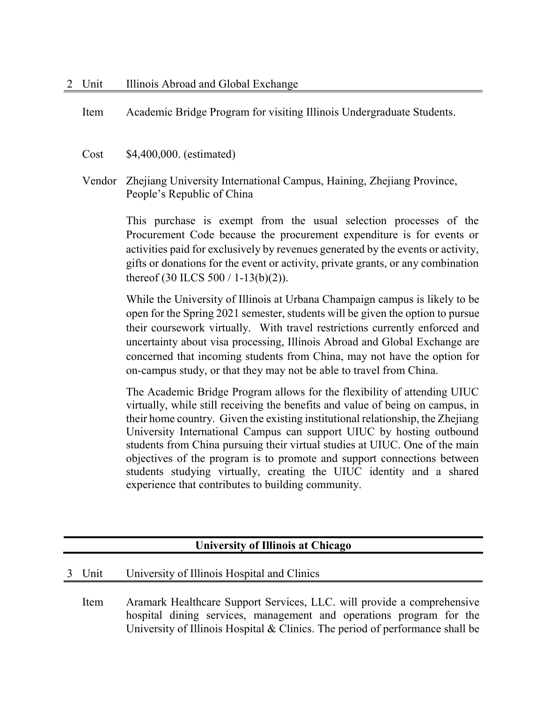Item Academic Bridge Program for visiting Illinois Undergraduate Students.

Cost \$4,400,000. (estimated)

Vendor Zhejiang University International Campus, Haining, Zhejiang Province, People's Republic of China

> This purchase is exempt from the usual selection processes of the Procurement Code because the procurement expenditure is for events or activities paid for exclusively by revenues generated by the events or activity, gifts or donations for the event or activity, private grants, or any combination thereof (30 ILCS 500 / 1-13(b)(2)).

> While the University of Illinois at Urbana Champaign campus is likely to be open for the Spring 2021 semester, students will be given the option to pursue their coursework virtually. With travel restrictions currently enforced and uncertainty about visa processing, Illinois Abroad and Global Exchange are concerned that incoming students from China, may not have the option for on-campus study, or that they may not be able to travel from China.

> The Academic Bridge Program allows for the flexibility of attending UIUC virtually, while still receiving the benefits and value of being on campus, in their home country. Given the existing institutional relationship, the Zhejiang University International Campus can support UIUC by hosting outbound students from China pursuing their virtual studies at UIUC. One of the main objectives of the program is to promote and support connections between students studying virtually, creating the UIUC identity and a shared experience that contributes to building community.

## **University of Illinois at Chicago**

### 3 Unit University of Illinois Hospital and Clinics

Item Aramark Healthcare Support Services, LLC. will provide a comprehensive hospital dining services, management and operations program for the University of Illinois Hospital & Clinics. The period of performance shall be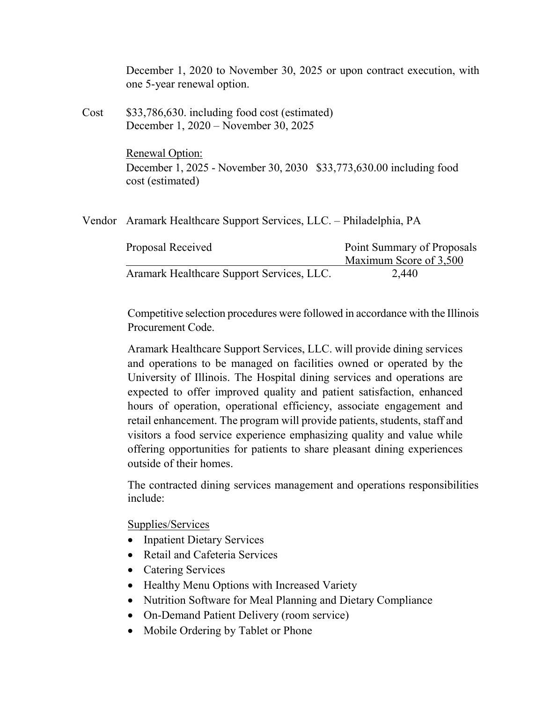|      | December 1, 2020 to November 30, 2025 or upon contract execution, with<br>one 5-year renewal option.       |                                                      |  |
|------|------------------------------------------------------------------------------------------------------------|------------------------------------------------------|--|
| Cost | \$33,786,630. including food cost (estimated)<br>December 1, 2020 – November 30, 2025                      |                                                      |  |
|      | Renewal Option:<br>December 1, 2025 - November 30, 2030 \$33,773,630.00 including food<br>cost (estimated) |                                                      |  |
|      | Vendor Aramark Healthcare Support Services, LLC. – Philadelphia, PA                                        |                                                      |  |
|      | Proposal Received                                                                                          | Point Summary of Proposals<br>Maximum Score of 3,500 |  |
|      | Aramark Healthcare Support Services, LLC.                                                                  | 2,440                                                |  |

Competitive selection procedures were followed in accordance with the Illinois Procurement Code.

Aramark Healthcare Support Services, LLC. will provide dining services and operations to be managed on facilities owned or operated by the University of Illinois. The Hospital dining services and operations are expected to offer improved quality and patient satisfaction, enhanced hours of operation, operational efficiency, associate engagement and retail enhancement. The program will provide patients, students, staff and visitors a food service experience emphasizing quality and value while offering opportunities for patients to share pleasant dining experiences outside of their homes.

The contracted dining services management and operations responsibilities include:

Supplies/Services

- Inpatient Dietary Services
- Retail and Cafeteria Services
- Catering Services
- Healthy Menu Options with Increased Variety
- Nutrition Software for Meal Planning and Dietary Compliance
- On-Demand Patient Delivery (room service)
- Mobile Ordering by Tablet or Phone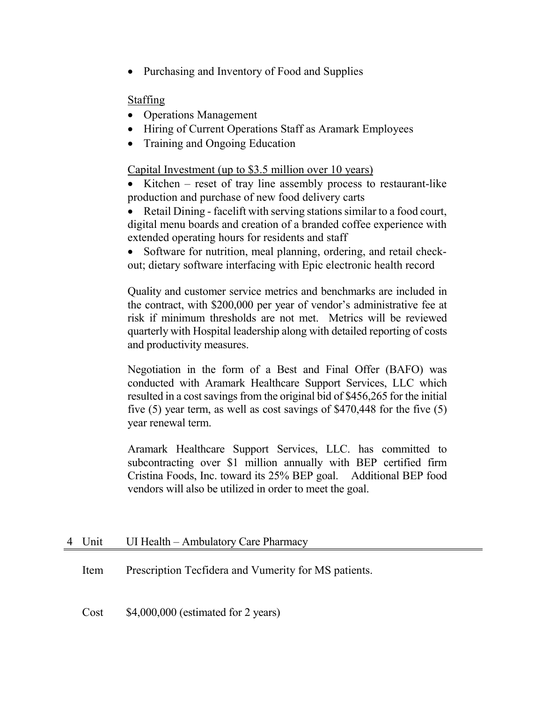• Purchasing and Inventory of Food and Supplies

## Staffing

- Operations Management
- Hiring of Current Operations Staff as Aramark Employees
- Training and Ongoing Education

## Capital Investment (up to \$3.5 million over 10 years)

- Kitchen reset of tray line assembly process to restaurant-like production and purchase of new food delivery carts
- Retail Dining facelift with serving stations similar to a food court, digital menu boards and creation of a branded coffee experience with extended operating hours for residents and staff
- Software for nutrition, meal planning, ordering, and retail checkout; dietary software interfacing with Epic electronic health record

Quality and customer service metrics and benchmarks are included in the contract, with \$200,000 per year of vendor's administrative fee at risk if minimum thresholds are not met. Metrics will be reviewed quarterly with Hospital leadership along with detailed reporting of costs and productivity measures.

Negotiation in the form of a Best and Final Offer (BAFO) was conducted with Aramark Healthcare Support Services, LLC which resulted in a cost savings from the original bid of \$456,265 for the initial five (5) year term, as well as cost savings of \$470,448 for the five (5) year renewal term.

Aramark Healthcare Support Services, LLC. has committed to subcontracting over \$1 million annually with BEP certified firm Cristina Foods, Inc. toward its 25% BEP goal. Additional BEP food vendors will also be utilized in order to meet the goal.

## 4 Unit UI Health – Ambulatory Care Pharmacy

Item Prescription Tecfidera and Vumerity for MS patients.

Cost \$4,000,000 (estimated for 2 years)